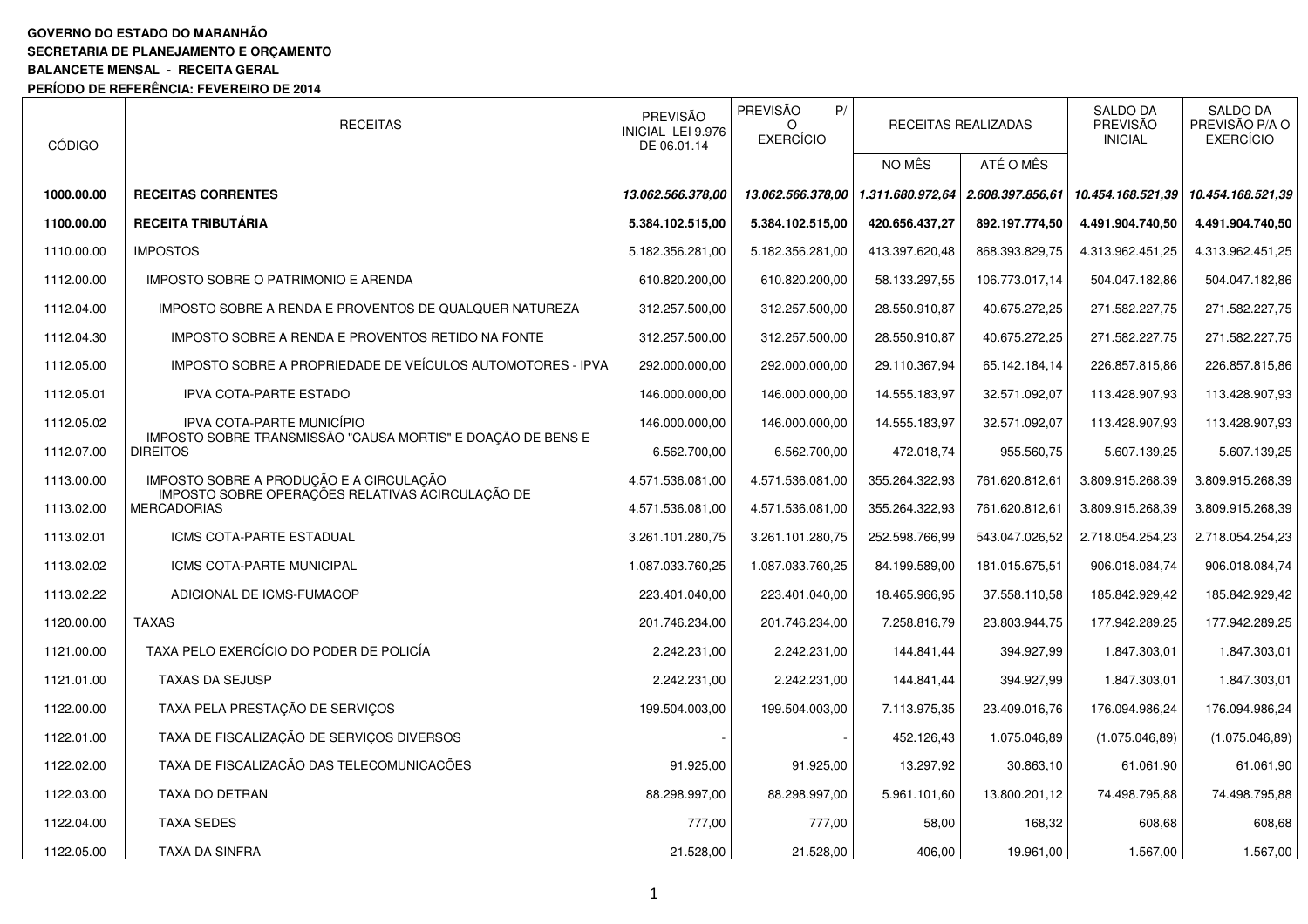## **GOVERNO DO ESTADO DO MARANHÃO SECRETARIA DE PLANEJAMENTO E ORÇAMENTO BALANCETE MENSAL - RECEITA GERAL PERÍODO DE REFERÊNCIA: FEVEREIRO DE 2014**

| <b>CÓDIGO</b> | <b>RECEITAS</b>                                                                | PREVISÃO<br>INICIAL LEI 9.976<br>DE 06.01.14 | PREVISÃO<br>P/<br><b>EXERCÍCIO</b> |                  | RECEITAS REALIZADAS | <b>SALDO DA</b><br>PREVISÃO<br><b>INICIAL</b> | <b>SALDO DA</b><br>PREVISÃO P/A O<br><b>EXERCÍCIO</b> |
|---------------|--------------------------------------------------------------------------------|----------------------------------------------|------------------------------------|------------------|---------------------|-----------------------------------------------|-------------------------------------------------------|
|               |                                                                                |                                              |                                    | NO MÊS           | ATÉ O MÊS           |                                               |                                                       |
| 1000.00.00    | <b>RECEITAS CORRENTES</b>                                                      | 13.062.566.378.00                            | 13.062.566.378,00                  | 1.311.680.972,64 | 2.608.397.856,61    | 10.454.168.521,39                             | 10.454.168.521,39                                     |
| 1100.00.00    | <b>RECEITA TRIBUTÁRIA</b>                                                      | 5.384.102.515,00                             | 5.384.102.515,00                   | 420.656.437,27   | 892.197.774,50      | 4.491.904.740,50                              | 4.491.904.740,50                                      |
| 1110.00.00    | <b>IMPOSTOS</b>                                                                | 5.182.356.281.00                             | 5.182.356.281,00                   | 413.397.620,48   | 868.393.829,75      | 4.313.962.451,25                              | 4.313.962.451,25                                      |
| 1112.00.00    | IMPOSTO SOBRE O PATRIMONIO E ARENDA                                            | 610.820.200,00                               | 610.820.200,00                     | 58.133.297,55    | 106.773.017,14      | 504.047.182,86                                | 504.047.182,86                                        |
| 1112.04.00    | IMPOSTO SOBRE A RENDA E PROVENTOS DE QUALQUER NATUREZA                         | 312.257.500,00                               | 312.257.500,00                     | 28.550.910,87    | 40.675.272,25       | 271.582.227,75                                | 271.582.227,75                                        |
| 1112.04.30    | IMPOSTO SOBRE A RENDA E PROVENTOS RETIDO NA FONTE                              | 312.257.500,00                               | 312.257.500,00                     | 28.550.910,87    | 40.675.272,25       | 271.582.227,75                                | 271.582.227,75                                        |
| 1112.05.00    | IMPOSTO SOBRE A PROPRIEDADE DE VEÍCULOS AUTOMOTORES - IPVA                     | 292.000.000,00                               | 292.000.000,00                     | 29.110.367,94    | 65.142.184,14       | 226.857.815,86                                | 226.857.815,86                                        |
| 1112.05.01    | <b>IPVA COTA-PARTE ESTADO</b>                                                  | 146.000.000,00                               | 146.000.000,00                     | 14.555.183,97    | 32.571.092,07       | 113.428.907,93                                | 113.428.907,93                                        |
| 1112.05.02    | IPVA COTA-PARTE MUNICÍPIO                                                      | 146.000.000,00                               | 146.000.000,00                     | 14.555.183,97    | 32.571.092,07       | 113.428.907,93                                | 113.428.907,93                                        |
| 1112.07.00    | IMPOSTO SOBRE TRANSMISSÃO "CAUSA MORTIS" E DOAÇÃO DE BENS E<br><b>DIREITOS</b> | 6.562.700,00                                 | 6.562.700,00                       | 472.018,74       | 955.560,75          | 5.607.139,25                                  | 5.607.139,25                                          |
| 1113.00.00    | IMPOSTO SOBRE A PRODUÇÃO E A CIRCULAÇÃO                                        | 4.571.536.081,00                             | 4.571.536.081,00                   | 355.264.322,93   | 761.620.812,61      | 3.809.915.268,39                              | 3.809.915.268,39                                      |
| 1113.02.00    | IMPOSTO SOBRE OPERAÇÕES RELATIVAS ACIRCULAÇÃO DE<br><b>MERCADORIAS</b>         | 4.571.536.081,00                             | 4.571.536.081,00                   | 355.264.322,93   | 761.620.812,61      | 3.809.915.268,39                              | 3.809.915.268,39                                      |
| 1113.02.01    | ICMS COTA-PARTE ESTADUAL                                                       | 3.261.101.280,75                             | 3.261.101.280,75                   | 252.598.766,99   | 543.047.026,52      | 2.718.054.254,23                              | 2.718.054.254,23                                      |
| 1113.02.02    | ICMS COTA-PARTE MUNICIPAL                                                      | 1.087.033.760,25                             | 1.087.033.760,25                   | 84.199.589,00    | 181.015.675,51      | 906.018.084,74                                | 906.018.084,74                                        |
| 1113.02.22    | ADICIONAL DE ICMS-FUMACOP                                                      | 223.401.040,00                               | 223.401.040,00                     | 18.465.966,95    | 37.558.110,58       | 185.842.929,42                                | 185.842.929,42                                        |
| 1120.00.00    | <b>TAXAS</b>                                                                   | 201.746.234,00                               | 201.746.234,00                     | 7.258.816,79     | 23.803.944,75       | 177.942.289,25                                | 177.942.289,25                                        |
| 1121.00.00    | TAXA PELO EXERCÍCIO DO PODER DE POLICÍA                                        | 2.242.231,00                                 | 2.242.231,00                       | 144.841,44       | 394.927,99          | 1.847.303,01                                  | 1.847.303,01                                          |
| 1121.01.00    | <b>TAXAS DA SEJUSP</b>                                                         | 2.242.231,00                                 | 2.242.231,00                       | 144.841.44       | 394.927,99          | 1.847.303,01                                  | 1.847.303,01                                          |
| 1122.00.00    | TAXA PELA PRESTAÇÃO DE SERVIÇOS                                                | 199.504.003,00                               | 199.504.003,00                     | 7.113.975,35     | 23.409.016,76       | 176.094.986,24                                | 176.094.986,24                                        |
| 1122.01.00    | TAXA DE FISCALIZAÇÃO DE SERVIÇOS DIVERSOS                                      |                                              |                                    | 452.126,43       | 1.075.046,89        | (1.075.046, 89)                               | (1.075.046, 89)                                       |
| 1122.02.00    | TAXA DE FISCALIZAÇÃO DAS TELECOMUNICAÇÕES                                      | 91.925,00                                    | 91.925,00                          | 13.297,92        | 30.863,10           | 61.061,90                                     | 61.061,90                                             |
| 1122.03.00    | TAXA DO DETRAN                                                                 | 88.298.997,00                                | 88.298.997,00                      | 5.961.101,60     | 13.800.201,12       | 74.498.795,88                                 | 74.498.795,88                                         |
| 1122.04.00    | TAXA SEDES                                                                     | 777,00                                       | 777,00                             | 58,00            | 168,32              | 608,68                                        | 608,68                                                |
| 1122.05.00    | TAXA DA SINFRA                                                                 | 21.528,00                                    | 21.528,00                          | 406,00           | 19.961,00           | 1.567,00                                      | 1.567,00                                              |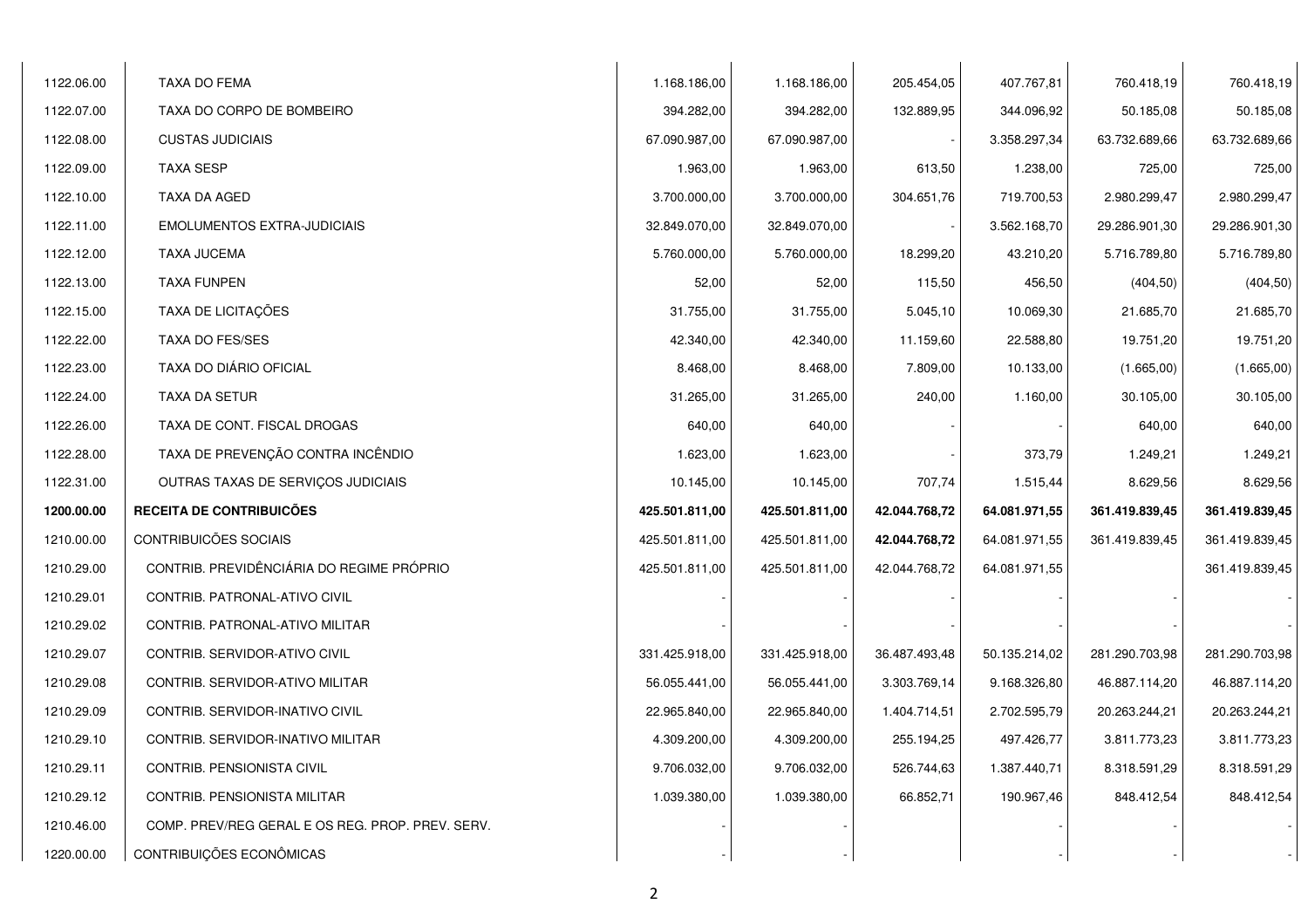| 1122.06.00 | TAXA DO FEMA                                     | 1.168.186,00   | 1.168.186,00   | 205.454,05    | 407.767,81    | 760.418,19     | 760.418,19     |
|------------|--------------------------------------------------|----------------|----------------|---------------|---------------|----------------|----------------|
| 1122.07.00 | TAXA DO CORPO DE BOMBEIRO                        | 394.282,00     | 394.282,00     | 132.889,95    | 344.096,92    | 50.185,08      | 50.185,08      |
| 1122.08.00 | <b>CUSTAS JUDICIAIS</b>                          | 67.090.987,00  | 67.090.987,00  |               | 3.358.297,34  | 63.732.689,66  | 63.732.689,66  |
| 1122.09.00 | <b>TAXA SESP</b>                                 | 1.963,00       | 1.963,00       | 613,50        | 1.238,00      | 725,00         | 725,00         |
| 1122.10.00 | TAXA DA AGED                                     | 3.700.000,00   | 3.700.000,00   | 304.651,76    | 719.700,53    | 2.980.299,47   | 2.980.299,47   |
| 1122.11.00 | <b>EMOLUMENTOS EXTRA-JUDICIAIS</b>               | 32.849.070,00  | 32.849.070,00  |               | 3.562.168,70  | 29.286.901,30  | 29.286.901,30  |
| 1122.12.00 | <b>TAXA JUCEMA</b>                               | 5.760.000,00   | 5.760.000,00   | 18.299,20     | 43.210,20     | 5.716.789,80   | 5.716.789,80   |
| 1122.13.00 | <b>TAXA FUNPEN</b>                               | 52,00          | 52,00          | 115,50        | 456,50        | (404, 50)      | (404, 50)      |
| 1122.15.00 | TAXA DE LICITAÇÕES                               | 31.755,00      | 31.755,00      | 5.045,10      | 10.069,30     | 21.685,70      | 21.685,70      |
| 1122.22.00 | <b>TAXA DO FES/SES</b>                           | 42.340,00      | 42.340,00      | 11.159,60     | 22.588,80     | 19.751,20      | 19.751,20      |
| 1122.23.00 | TAXA DO DIÁRIO OFICIAL                           | 8.468,00       | 8.468,00       | 7.809,00      | 10.133,00     | (1.665,00)     | (1.665,00)     |
| 1122.24.00 | TAXA DA SETUR                                    | 31.265,00      | 31.265,00      | 240,00        | 1.160,00      | 30.105,00      | 30.105,00      |
| 1122.26.00 | TAXA DE CONT. FISCAL DROGAS                      | 640,00         | 640,00         |               |               | 640,00         | 640,00         |
| 1122.28.00 | TAXA DE PREVENÇÃO CONTRA INCÊNDIO                | 1.623,00       | 1.623,00       |               | 373,79        | 1.249,21       | 1.249,21       |
| 1122.31.00 | OUTRAS TAXAS DE SERVIÇOS JUDICIAIS               | 10.145,00      | 10.145,00      | 707,74        | 1.515,44      | 8.629,56       | 8.629,56       |
| 1200.00.00 | RECEITA DE CONTRIBUICÕES                         | 425.501.811,00 | 425.501.811,00 | 42.044.768,72 | 64.081.971,55 | 361.419.839,45 | 361.419.839,45 |
| 1210.00.00 | CONTRIBUICÕES SOCIAIS                            | 425.501.811,00 | 425.501.811,00 | 42.044.768,72 | 64.081.971,55 | 361.419.839,45 | 361.419.839,45 |
| 1210.29.00 | CONTRIB. PREVIDÊNCIÁRIA DO REGIME PRÓPRIO        | 425.501.811,00 | 425.501.811,00 | 42.044.768,72 | 64.081.971,55 |                | 361.419.839,45 |
| 1210.29.01 | CONTRIB. PATRONAL-ATIVO CIVIL                    |                |                |               |               |                |                |
| 1210.29.02 | CONTRIB. PATRONAL-ATIVO MILITAR                  |                |                |               |               |                |                |
| 1210.29.07 | CONTRIB. SERVIDOR-ATIVO CIVIL                    | 331.425.918,00 | 331.425.918,00 | 36.487.493,48 | 50.135.214,02 | 281.290.703,98 | 281.290.703,98 |
| 1210.29.08 | CONTRIB. SERVIDOR-ATIVO MILITAR                  | 56.055.441,00  | 56.055.441,00  | 3.303.769,14  | 9.168.326,80  | 46.887.114,20  | 46.887.114,20  |
| 1210.29.09 | CONTRIB. SERVIDOR-INATIVO CIVIL                  | 22.965.840,00  | 22.965.840,00  | 1.404.714,51  | 2.702.595,79  | 20.263.244,21  | 20.263.244,21  |
| 1210.29.10 | CONTRIB. SERVIDOR-INATIVO MILITAR                | 4.309.200,00   | 4.309.200,00   | 255.194,25    | 497.426,77    | 3.811.773,23   | 3.811.773,23   |
| 1210.29.11 | CONTRIB. PENSIONISTA CIVIL                       | 9.706.032,00   | 9.706.032,00   | 526.744,63    | 1.387.440,71  | 8.318.591.29   | 8.318.591,29   |
| 1210.29.12 | CONTRIB. PENSIONISTA MILITAR                     | 1.039.380,00   | 1.039.380,00   | 66.852,71     | 190.967,46    | 848.412,54     | 848.412,54     |
| 1210.46.00 | COMP. PREV/REG GERAL E OS REG. PROP. PREV. SERV. |                |                |               |               |                |                |
| 1220.00.00 | CONTRIBUIÇÕES ECONÔMICAS                         |                |                |               |               |                |                |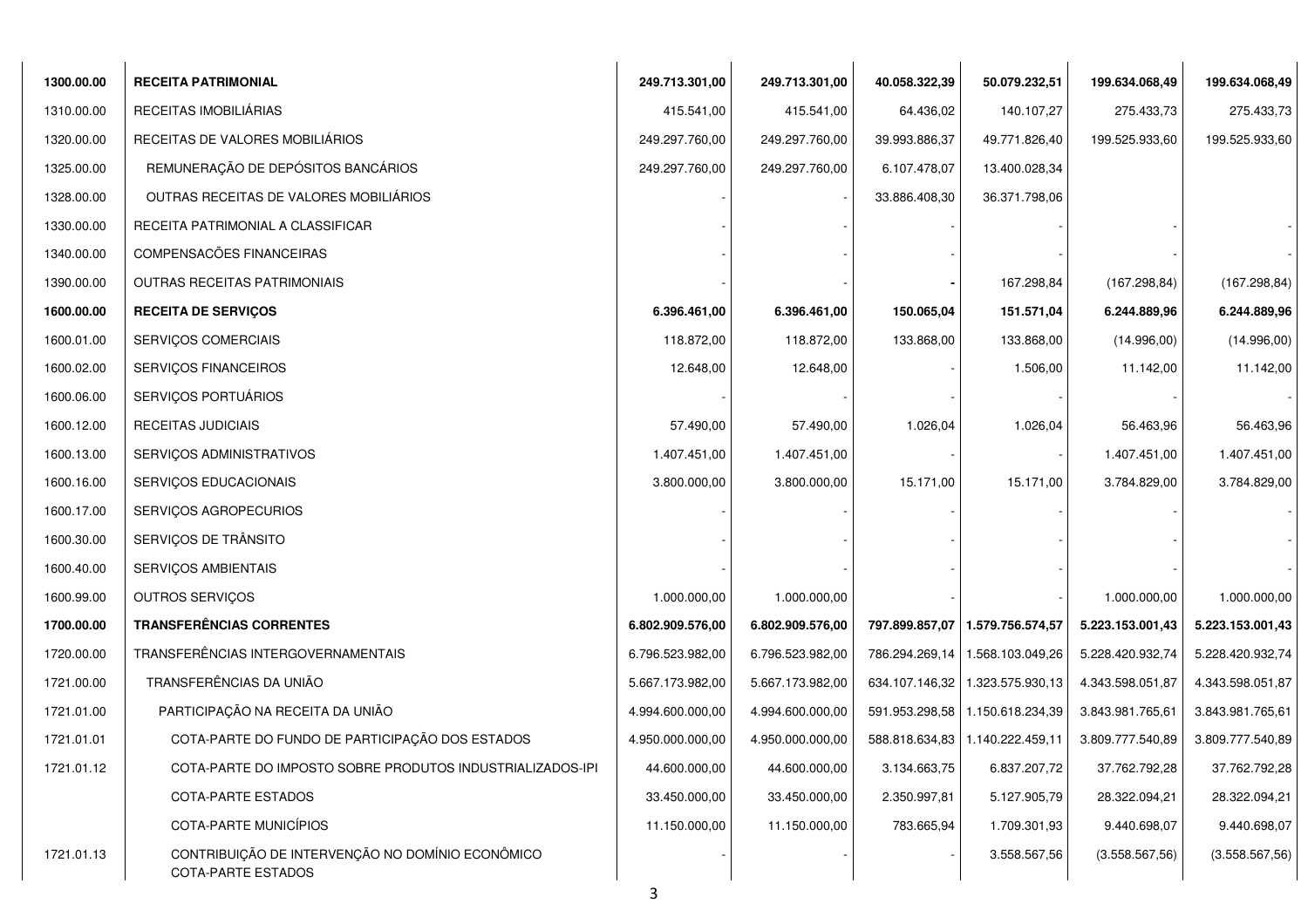| 1300.00.00 | <b>RECEITA PATRIMONIAL</b>                                             | 249.713.301,00   | 249.713.301,00   | 40.058.322,39  | 50.079.232,51                     | 199.634.068,49   | 199.634.068,49   |
|------------|------------------------------------------------------------------------|------------------|------------------|----------------|-----------------------------------|------------------|------------------|
| 1310.00.00 | RECEITAS IMOBILIÁRIAS                                                  | 415.541,00       | 415.541,00       | 64.436,02      | 140.107,27                        | 275.433,73       | 275.433,73       |
| 1320.00.00 | RECEITAS DE VALORES MOBILIÁRIOS                                        | 249.297.760,00   | 249.297.760,00   | 39.993.886,37  | 49.771.826,40                     | 199.525.933,60   | 199.525.933,60   |
| 1325.00.00 | REMUNERAÇÃO DE DEPÓSITOS BANCÁRIOS                                     | 249.297.760,00   | 249.297.760,00   | 6.107.478,07   | 13.400.028,34                     |                  |                  |
| 1328.00.00 | OUTRAS RECEITAS DE VALORES MOBILIÁRIOS                                 |                  |                  | 33.886.408,30  | 36.371.798,06                     |                  |                  |
| 1330.00.00 | RECEITA PATRIMONIAL A CLASSIFICAR                                      |                  |                  |                |                                   |                  |                  |
| 1340.00.00 | COMPENSACÕES FINANCEIRAS                                               |                  |                  |                |                                   |                  |                  |
| 1390.00.00 | <b>OUTRAS RECEITAS PATRIMONIAIS</b>                                    |                  |                  |                | 167.298,84                        | (167.298, 84)    | (167.298, 84)    |
| 1600.00.00 | <b>RECEITA DE SERVIÇOS</b>                                             | 6.396.461,00     | 6.396.461,00     | 150.065,04     | 151.571,04                        | 6.244.889,96     | 6.244.889,96     |
| 1600.01.00 | SERVIÇOS COMERCIAIS                                                    | 118.872,00       | 118.872,00       | 133.868,00     | 133.868,00                        | (14.996,00)      | (14.996,00)      |
| 1600.02.00 | SERVIÇOS FINANCEIROS                                                   | 12.648,00        | 12.648,00        |                | 1.506,00                          | 11.142,00        | 11.142,00        |
| 1600.06.00 | SERVIÇOS PORTUÁRIOS                                                    |                  |                  |                |                                   |                  |                  |
| 1600.12.00 | <b>RECEITAS JUDICIAIS</b>                                              | 57.490,00        | 57.490,00        | 1.026,04       | 1.026,04                          | 56.463,96        | 56.463,96        |
| 1600.13.00 | SERVIÇOS ADMINISTRATIVOS                                               | 1.407.451,00     | 1.407.451,00     |                |                                   | 1.407.451,00     | 1.407.451,00     |
| 1600.16.00 | SERVIÇOS EDUCACIONAIS                                                  | 3.800.000,00     | 3.800.000,00     | 15.171,00      | 15.171,00                         | 3.784.829,00     | 3.784.829,00     |
| 1600.17.00 | SERVIÇOS AGROPECURIOS                                                  |                  |                  |                |                                   |                  |                  |
| 1600.30.00 | SERVIÇOS DE TRÂNSITO                                                   |                  |                  |                |                                   |                  |                  |
| 1600.40.00 | SERVIÇOS AMBIENTAIS                                                    |                  |                  |                |                                   |                  |                  |
| 1600.99.00 | OUTROS SERVIÇOS                                                        | 1.000.000,00     | 1.000.000,00     |                |                                   | 1.000.000,00     | 1.000.000,00     |
| 1700.00.00 | <b>TRANSFERÊNCIAS CORRENTES</b>                                        | 6.802.909.576,00 | 6.802.909.576,00 |                | 797.899.857,07   1.579.756.574,57 | 5.223.153.001,43 | 5.223.153.001,43 |
| 1720.00.00 | TRANSFERÊNCIAS INTERGOVERNAMENTAIS                                     | 6.796.523.982,00 | 6.796.523.982,00 | 786.294.269,14 | 1.568.103.049,26                  | 5.228.420.932,74 | 5.228.420.932,74 |
| 1721.00.00 | TRANSFERÊNCIAS DA UNIÃO                                                | 5.667.173.982,00 | 5.667.173.982,00 | 634.107.146,32 | 1.323.575.930,13                  | 4.343.598.051,87 | 4.343.598.051,87 |
| 1721.01.00 | PARTICIPAÇÃO NA RECEITA DA UNIÃO                                       | 4.994.600.000,00 | 4.994.600.000,00 | 591.953.298,58 | 1.150.618.234,39                  | 3.843.981.765,61 | 3.843.981.765,61 |
| 1721.01.01 | COTA-PARTE DO FUNDO DE PARTICIPAÇÃO DOS ESTADOS                        | 4.950.000.000,00 | 4.950.000.000,00 |                | 588.818.634,83 1.140.222.459,11   | 3.809.777.540,89 | 3.809.777.540,89 |
| 1721.01.12 | COTA-PARTE DO IMPOSTO SOBRE PRODUTOS INDUSTRIALIZADOS-IPI              | 44.600.000,00    | 44.600.000,00    | 3.134.663,75   | 6.837.207,72                      | 37.762.792,28    | 37.762.792,28    |
|            | COTA-PARTE ESTADOS                                                     | 33.450.000,00    | 33.450.000,00    | 2.350.997,81   | 5.127.905,79                      | 28.322.094,21    | 28.322.094,21    |
|            | COTA-PARTE MUNICÍPIOS                                                  | 11.150.000,00    | 11.150.000,00    | 783.665,94     | 1.709.301,93                      | 9.440.698,07     | 9.440.698,07     |
| 1721.01.13 | CONTRIBUIÇÃO DE INTERVENÇÃO NO DOMÍNIO ECONÔMICO<br>COTA-PARTE ESTADOS |                  |                  |                | 3.558.567,56                      | (3.558.567, 56)  | (3.558.567, 56)  |

3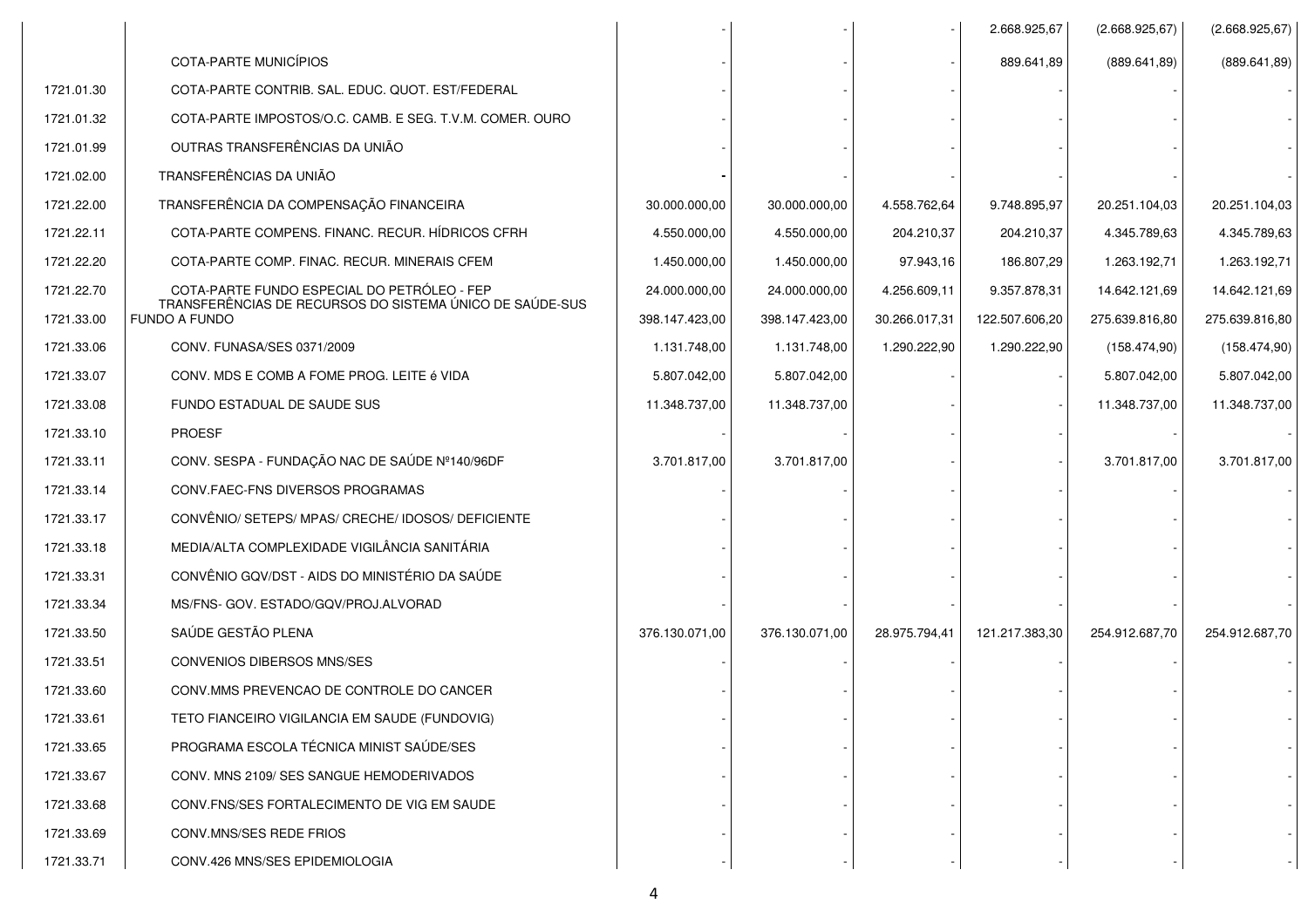|            |                                                                                                         |                |                |               | 2.668.925,67   | (2.668.925, 67) | (2.668.925, 67) |
|------------|---------------------------------------------------------------------------------------------------------|----------------|----------------|---------------|----------------|-----------------|-----------------|
|            | COTA-PARTE MUNICÍPIOS                                                                                   |                |                |               | 889.641,89     | (889.641, 89)   | (889.641, 89)   |
| 1721.01.30 | COTA-PARTE CONTRIB. SAL. EDUC. QUOT. EST/FEDERAL                                                        |                |                |               |                |                 |                 |
| 1721.01.32 | COTA-PARTE IMPOSTOS/O.C. CAMB. E SEG. T.V.M. COMER. OURO                                                |                |                |               |                |                 |                 |
| 1721.01.99 | OUTRAS TRANSFERÊNCIAS DA UNIÃO                                                                          |                |                |               |                |                 |                 |
| 1721.02.00 | TRANSFERÊNCIAS DA UNIÃO                                                                                 |                |                |               |                |                 |                 |
| 1721.22.00 | TRANSFERÊNCIA DA COMPENSAÇÃO FINANCEIRA                                                                 | 30.000.000,00  | 30.000.000,00  | 4.558.762,64  | 9.748.895,97   | 20.251.104,03   | 20.251.104,03   |
| 1721.22.11 | COTA-PARTE COMPENS. FINANC. RECUR. HÍDRICOS CFRH                                                        | 4.550.000,00   | 4.550.000,00   | 204.210,37    | 204.210,37     | 4.345.789,63    | 4.345.789,63    |
| 1721.22.20 | COTA-PARTE COMP. FINAC. RECUR. MINERAIS CFEM                                                            | 1.450.000,00   | 1.450.000,00   | 97.943,16     | 186.807,29     | 1.263.192,71    | 1.263.192,71    |
| 1721.22.70 | COTA-PARTE FUNDO ESPECIAL DO PETRÓLEO - FEP<br>TRANSFERÊNCIAS DE RECURSOS DO SISTEMA ÚNICO DE SAÚDE-SUS | 24.000.000,00  | 24.000.000,00  | 4.256.609,11  | 9.357.878,31   | 14.642.121,69   | 14.642.121,69   |
| 1721.33.00 | <b>FUNDO A FUNDO</b>                                                                                    | 398.147.423,00 | 398.147.423,00 | 30.266.017,31 | 122.507.606,20 | 275.639.816,80  | 275.639.816,80  |
| 1721.33.06 | CONV. FUNASA/SES 0371/2009                                                                              | 1.131.748,00   | 1.131.748,00   | 1.290.222,90  | 1.290.222,90   | (158.474,90)    | (158.474,90)    |
| 1721.33.07 | CONV. MDS E COMB A FOME PROG. LEITE é VIDA                                                              | 5.807.042,00   | 5.807.042,00   |               |                | 5.807.042,00    | 5.807.042,00    |
| 1721.33.08 | FUNDO ESTADUAL DE SAUDE SUS                                                                             | 11.348.737,00  | 11.348.737,00  |               |                | 11.348.737,00   | 11.348.737,00   |
| 1721.33.10 | <b>PROESF</b>                                                                                           |                |                |               |                |                 |                 |
| 1721.33.11 | CONV. SESPA - FUNDAÇÃO NAC DE SAÚDE Nº140/96DF                                                          | 3.701.817,00   | 3.701.817,00   |               |                | 3.701.817,00    | 3.701.817,00    |
| 1721.33.14 | CONV.FAEC-FNS DIVERSOS PROGRAMAS                                                                        |                |                |               |                |                 |                 |
| 1721.33.17 | CONVÊNIO/ SETEPS/ MPAS/ CRECHE/ IDOSOS/ DEFICIENTE                                                      |                |                |               |                |                 |                 |
| 1721.33.18 | MEDIA/ALTA COMPLEXIDADE VIGILÂNCIA SANITÁRIA                                                            |                |                |               |                |                 |                 |
| 1721.33.31 | CONVÊNIO GQV/DST - AIDS DO MINISTÉRIO DA SAÚDE                                                          |                |                |               |                |                 |                 |
| 1721.33.34 | MS/FNS- GOV. ESTADO/GQV/PROJ.ALVORAD                                                                    |                |                |               |                |                 |                 |
| 1721.33.50 | SAÚDE GESTÃO PLENA                                                                                      | 376.130.071,00 | 376.130.071,00 | 28.975.794,41 | 121.217.383,30 | 254.912.687,70  | 254.912.687,70  |
| 1721.33.51 | <b>CONVENIOS DIBERSOS MNS/SES</b>                                                                       |                |                |               |                |                 |                 |
| 1721.33.60 | CONV.MMS PREVENCAO DE CONTROLE DO CANCER                                                                |                |                |               |                |                 |                 |
| 1721.33.61 | TETO FIANCEIRO VIGILANCIA EM SAUDE (FUNDOVIG)                                                           |                |                |               |                |                 |                 |
| 1721.33.65 | PROGRAMA ESCOLA TÉCNICA MINIST SAÚDE/SES                                                                |                |                |               |                |                 |                 |
| 1721.33.67 | CONV. MNS 2109/ SES SANGUE HEMODERIVADOS                                                                |                |                |               |                |                 |                 |
| 1721.33.68 | CONV.FNS/SES FORTALECIMENTO DE VIG EM SAUDE                                                             |                |                |               |                |                 |                 |
| 1721.33.69 | CONV.MNS/SES REDE FRIOS                                                                                 |                |                |               |                |                 |                 |
| 1721.33.71 | CONV.426 MNS/SES EPIDEMIOLOGIA                                                                          |                |                |               |                |                 |                 |
|            |                                                                                                         |                |                |               |                |                 |                 |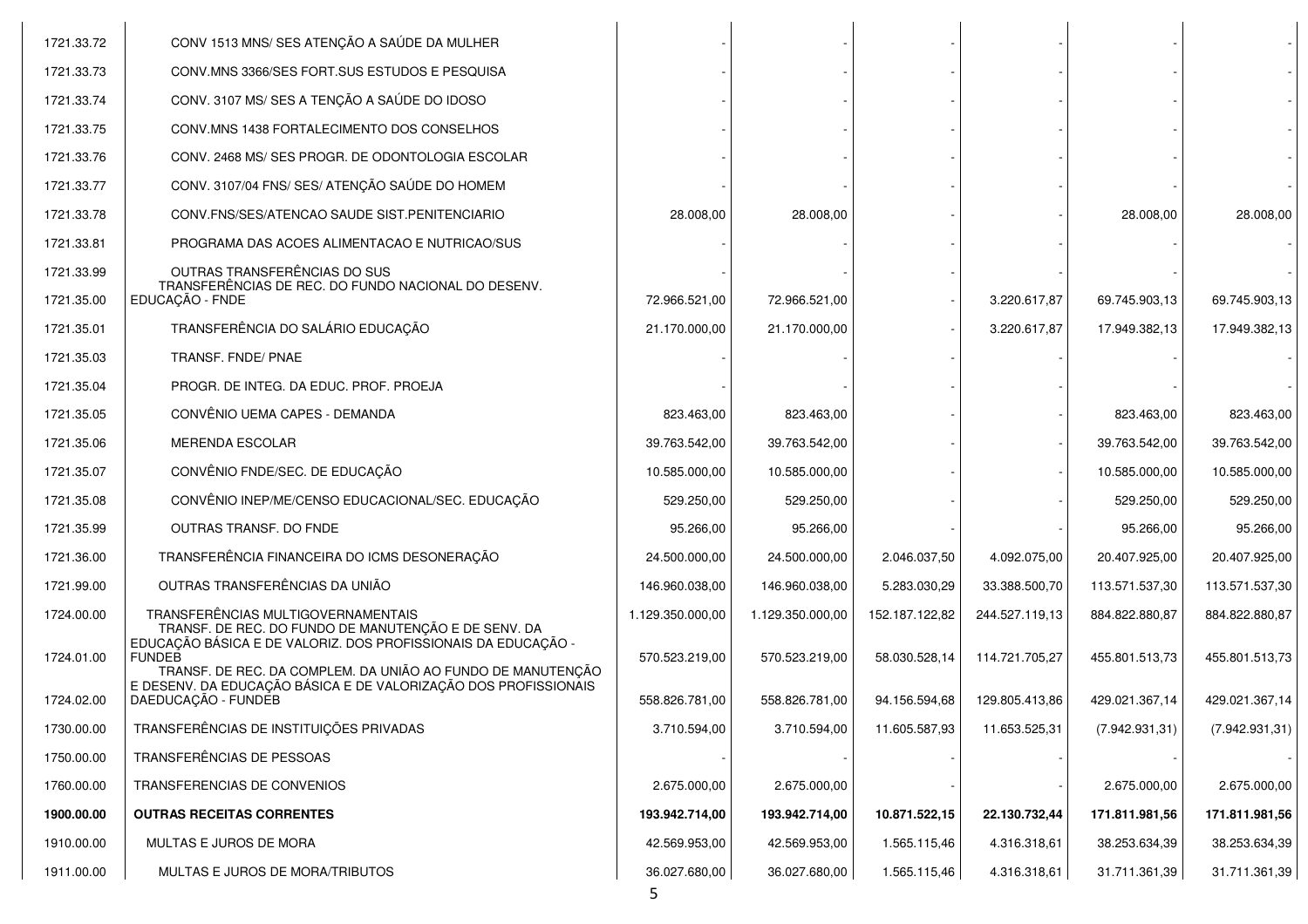| 1721.33.72 | CONV 1513 MNS/ SES ATENÇÃO A SAÚDE DA MULHER                                                                                                  |                  |                  |                |                |                |                |
|------------|-----------------------------------------------------------------------------------------------------------------------------------------------|------------------|------------------|----------------|----------------|----------------|----------------|
| 1721.33.73 | CONV.MNS 3366/SES FORT.SUS ESTUDOS E PESQUISA                                                                                                 |                  |                  |                |                |                |                |
| 1721.33.74 | CONV. 3107 MS/ SES A TENÇÃO A SAÚDE DO IDOSO                                                                                                  |                  |                  |                |                |                |                |
| 1721.33.75 | CONV.MNS 1438 FORTALECIMENTO DOS CONSELHOS                                                                                                    |                  |                  |                |                |                |                |
| 1721.33.76 | CONV. 2468 MS/ SES PROGR. DE ODONTOLOGIA ESCOLAR                                                                                              |                  |                  |                |                |                |                |
| 1721.33.77 | CONV. 3107/04 FNS/ SES/ ATENÇÃO SAÚDE DO HOMEM                                                                                                |                  |                  |                |                |                |                |
| 1721.33.78 | CONV.FNS/SES/ATENCAO SAUDE SIST.PENITENCIARIO                                                                                                 | 28.008,00        | 28.008,00        |                |                | 28.008,00      | 28.008,00      |
| 1721.33.81 | PROGRAMA DAS ACOES ALIMENTACAO E NUTRICAO/SUS                                                                                                 |                  |                  |                |                |                |                |
| 1721.33.99 | OUTRAS TRANSFERÊNCIAS DO SUS<br>TRANSFERÊNCIAS DE REC. DO FUNDO NACIONAL DO DESENV.                                                           |                  |                  |                |                |                |                |
| 1721.35.00 | EDUCAÇÃO - FNDE                                                                                                                               | 72.966.521,00    | 72.966.521,00    |                | 3.220.617,87   | 69.745.903,13  | 69.745.903,13  |
| 1721.35.01 | TRANSFERÊNCIA DO SALÁRIO EDUCAÇÃO                                                                                                             | 21.170.000,00    | 21.170.000,00    |                | 3.220.617,87   | 17.949.382,13  | 17.949.382,13  |
| 1721.35.03 | TRANSF. FNDE/ PNAE                                                                                                                            |                  |                  |                |                |                |                |
| 1721.35.04 | PROGR. DE INTEG. DA EDUC. PROF. PROEJA                                                                                                        |                  |                  |                |                |                |                |
| 1721.35.05 | CONVÊNIO UEMA CAPES - DEMANDA                                                                                                                 | 823.463,00       | 823.463,00       |                |                | 823.463,00     | 823.463,00     |
| 1721.35.06 | <b>MERENDA ESCOLAR</b>                                                                                                                        | 39.763.542,00    | 39.763.542,00    |                |                | 39.763.542,00  | 39.763.542,00  |
| 1721.35.07 | CONVÊNIO FNDE/SEC. DE EDUCAÇÃO                                                                                                                | 10.585.000,00    | 10.585.000,00    |                |                | 10.585.000,00  | 10.585.000,00  |
| 1721.35.08 | CONVÊNIO INEP/ME/CENSO EDUCACIONAL/SEC. EDUCAÇÃO                                                                                              | 529.250,00       | 529.250,00       |                |                | 529.250,00     | 529.250,00     |
| 1721.35.99 | OUTRAS TRANSF. DO FNDE                                                                                                                        | 95.266,00        | 95.266,00        |                |                | 95.266,00      | 95.266,00      |
| 1721.36.00 | TRANSFERÊNCIA FINANCEIRA DO ICMS DESONERAÇÃO                                                                                                  | 24.500.000,00    | 24.500.000,00    | 2.046.037,50   | 4.092.075,00   | 20.407.925,00  | 20.407.925,00  |
| 1721.99.00 | OUTRAS TRANSFERÊNCIAS DA UNIÃO                                                                                                                | 146.960.038,00   | 146.960.038,00   | 5.283.030,29   | 33.388.500,70  | 113.571.537,30 | 113.571.537,30 |
| 1724.00.00 | TRANSFERÊNCIAS MULTIGOVERNAMENTAIS<br>TRANSF. DE REC. DO FUNDO DE MANUTENÇÃO E DE SENV. DA                                                    | 1.129.350.000,00 | 1.129.350.000,00 | 152.187.122,82 | 244.527.119,13 | 884.822.880,87 | 884.822.880,87 |
| 1724.01.00 | EDUCAÇÃO BÁSICA E DE VALORIZ. DOS PROFISSIONAIS DA EDUCAÇÃO -<br><b>FUNDEB</b><br>TRANSF. DE REC. DA COMPLEM. DA UNIÃO AO FUNDO DE MANUTENÇÃO | 570.523.219,00   | 570.523.219,00   | 58.030.528,14  | 114.721.705,27 | 455.801.513,73 | 455.801.513,73 |
| 1724.02.00 | E DESENV. DA EDUCAÇÃO BÁSICA E DE VALORIZAÇÃO DOS PROFISSIONAIS<br>DAEDUCAÇÃO - FUNDEB                                                        | 558.826.781,00   | 558.826.781.00   | 94.156.594,68  | 129.805.413,86 | 429.021.367,14 | 429.021.367,14 |
| 1730.00.00 | TRANSFERÊNCIAS DE INSTITUIÇÕES PRIVADAS                                                                                                       | 3.710.594,00     | 3.710.594,00     | 11.605.587,93  | 11.653.525,31  | (7.942.931,31) | (7.942.931,31) |
| 1750.00.00 | TRANSFERÊNCIAS DE PESSOAS                                                                                                                     |                  |                  |                |                |                |                |
| 1760.00.00 | TRANSFERENCIAS DE CONVENIOS                                                                                                                   | 2.675.000,00     | 2.675.000,00     |                |                | 2.675.000,00   | 2.675.000,00   |
| 1900.00.00 | <b>OUTRAS RECEITAS CORRENTES</b>                                                                                                              | 193.942.714,00   | 193.942.714,00   | 10.871.522,15  | 22.130.732,44  | 171.811.981,56 | 171.811.981,56 |
| 1910.00.00 | MULTAS E JUROS DE MORA                                                                                                                        | 42.569.953,00    | 42.569.953,00    | 1.565.115,46   | 4.316.318,61   | 38.253.634,39  | 38.253.634,39  |
| 1911.00.00 | MULTAS E JUROS DE MORA/TRIBUTOS                                                                                                               | 36.027.680,00    | 36.027.680,00    | 1.565.115,46   | 4.316.318,61   | 31.711.361,39  | 31.711.361,39  |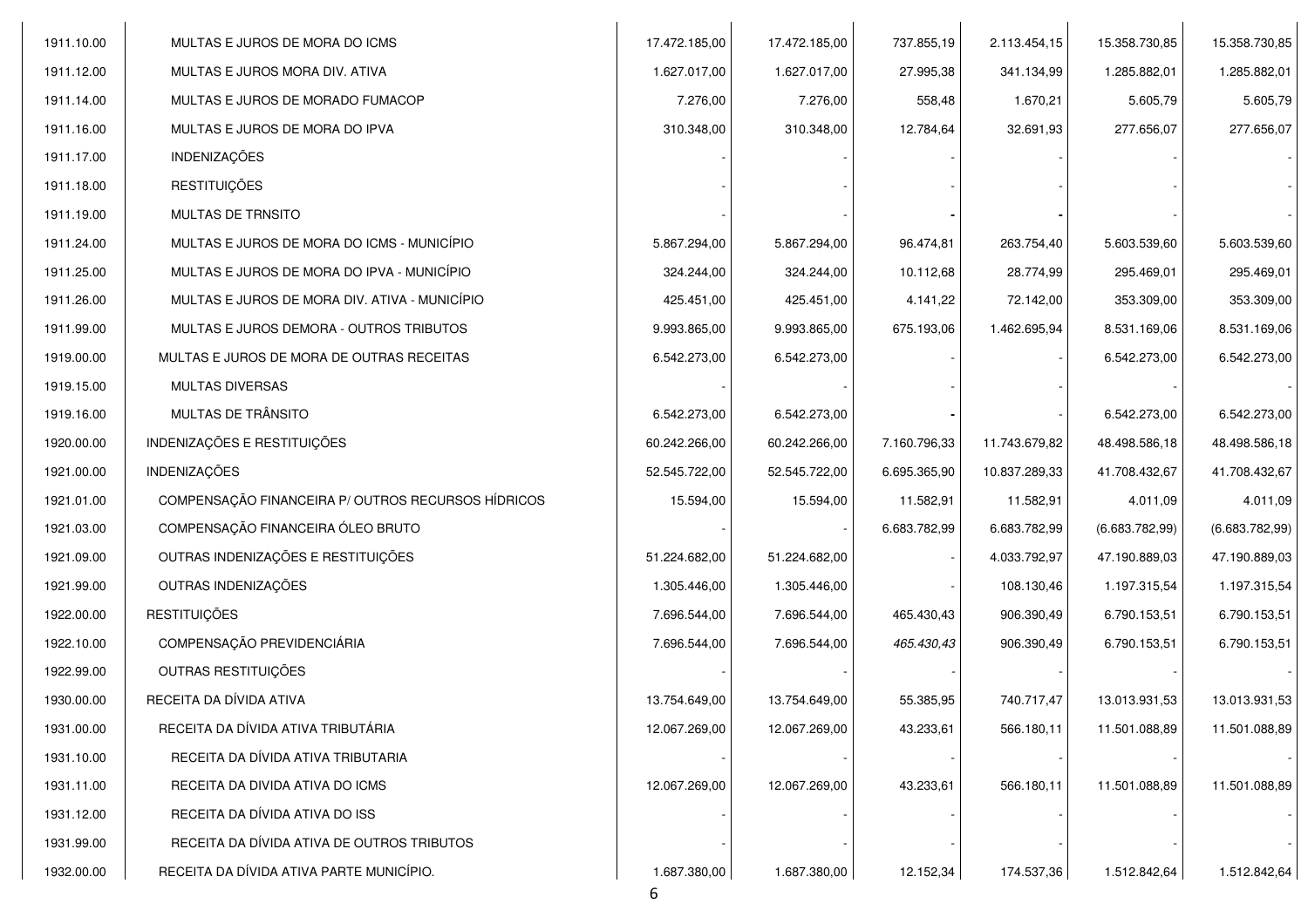| 1911.10.00 | MULTAS E JUROS DE MORA DO ICMS                     | 17.472.185,00 | 17.472.185,00 | 737.855,19   | 2.113.454,15  | 15.358.730,85  | 15.358.730,85  |
|------------|----------------------------------------------------|---------------|---------------|--------------|---------------|----------------|----------------|
| 1911.12.00 | MULTAS E JUROS MORA DIV. ATIVA                     | 1.627.017,00  | 1.627.017,00  | 27.995,38    | 341.134,99    | 1.285.882,01   | 1.285.882,01   |
| 1911.14.00 | MULTAS E JUROS DE MORADO FUMACOP                   | 7.276,00      | 7.276,00      | 558,48       | 1.670,21      | 5.605,79       | 5.605,79       |
| 1911.16.00 | MULTAS E JUROS DE MORA DO IPVA                     | 310.348,00    | 310.348,00    | 12.784,64    | 32.691,93     | 277.656,07     | 277.656,07     |
| 1911.17.00 | INDENIZAÇÕES                                       |               |               |              |               |                |                |
| 1911.18.00 | <b>RESTITUIÇÕES</b>                                |               |               |              |               |                |                |
| 1911.19.00 | <b>MULTAS DE TRNSITO</b>                           |               |               |              |               |                |                |
| 1911.24.00 | MULTAS E JUROS DE MORA DO ICMS - MUNICÍPIO         | 5.867.294,00  | 5.867.294,00  | 96.474,81    | 263.754,40    | 5.603.539,60   | 5.603.539,60   |
| 1911.25.00 | MULTAS E JUROS DE MORA DO IPVA - MUNICÍPIO         | 324.244,00    | 324.244,00    | 10.112,68    | 28.774,99     | 295.469,01     | 295.469,01     |
| 1911.26.00 | MULTAS E JUROS DE MORA DIV. ATIVA - MUNICÍPIO      | 425.451,00    | 425.451,00    | 4.141,22     | 72.142,00     | 353.309,00     | 353.309,00     |
| 1911.99.00 | MULTAS E JUROS DEMORA - OUTROS TRIBUTOS            | 9.993.865,00  | 9.993.865,00  | 675.193,06   | 1.462.695,94  | 8.531.169,06   | 8.531.169,06   |
| 1919.00.00 | MULTAS E JUROS DE MORA DE OUTRAS RECEITAS          | 6.542.273,00  | 6.542.273,00  |              |               | 6.542.273,00   | 6.542.273,00   |
| 1919.15.00 | MULTAS DIVERSAS                                    |               |               |              |               |                |                |
| 1919.16.00 | MULTAS DE TRÂNSITO                                 | 6.542.273,00  | 6.542.273,00  |              |               | 6.542.273,00   | 6.542.273,00   |
| 1920.00.00 | INDENIZAÇÕES E RESTITUIÇÕES                        | 60.242.266,00 | 60.242.266,00 | 7.160.796,33 | 11.743.679,82 | 48.498.586,18  | 48.498.586,18  |
| 1921.00.00 | <b>INDENIZAÇÕES</b>                                | 52.545.722,00 | 52.545.722,00 | 6.695.365,90 | 10.837.289,33 | 41.708.432,67  | 41.708.432,67  |
| 1921.01.00 | COMPENSAÇÃO FINANCEIRA P/ OUTROS RECURSOS HÍDRICOS | 15.594,00     | 15.594,00     | 11.582,91    | 11.582,91     | 4.011,09       | 4.011,09       |
| 1921.03.00 | COMPENSAÇÃO FINANCEIRA ÓLEO BRUTO                  |               |               | 6.683.782,99 | 6.683.782,99  | (6.683.782,99) | (6.683.782,99) |
| 1921.09.00 | OUTRAS INDENIZAÇÕES E RESTITUIÇÕES                 | 51.224.682,00 | 51.224.682,00 |              | 4.033.792,97  | 47.190.889,03  | 47.190.889,03  |
| 1921.99.00 | OUTRAS INDENIZAÇÕES                                | 1.305.446,00  | 1.305.446,00  |              | 108.130,46    | 1.197.315,54   | 1.197.315,54   |
| 1922.00.00 | <b>RESTITUIÇÕES</b>                                | 7.696.544,00  | 7.696.544,00  | 465.430,43   | 906.390,49    | 6.790.153,51   | 6.790.153,51   |
| 1922.10.00 | COMPENSAÇÃO PREVIDENCIÁRIA                         | 7.696.544,00  | 7.696.544,00  | 465.430,43   | 906.390,49    | 6.790.153,51   | 6.790.153,51   |
| 1922.99.00 | OUTRAS RESTITUIÇÕES                                |               |               |              |               |                |                |
| 1930.00.00 | RECEITA DA DÍVIDA ATIVA                            | 13.754.649,00 | 13.754.649,00 | 55.385,95    | 740.717,47    | 13.013.931,53  | 13.013.931,53  |
| 1931.00.00 | RECEITA DA DÍVIDA ATIVA TRIBUTÁRIA                 | 12.067.269,00 | 12.067.269,00 | 43.233,61    | 566.180,11    | 11.501.088,89  | 11.501.088,89  |
| 1931.10.00 | RECEITA DA DÍVIDA ATIVA TRIBUTARIA                 |               |               |              |               |                |                |
| 1931.11.00 | RECEITA DA DIVIDA ATIVA DO ICMS                    | 12.067.269,00 | 12.067.269,00 | 43.233,61    | 566.180,11    | 11.501.088,89  | 11.501.088,89  |
| 1931.12.00 | RECEITA DA DÍVIDA ATIVA DO ISS                     |               |               |              |               |                |                |
| 1931.99.00 | RECEITA DA DÍVIDA ATIVA DE OUTROS TRIBUTOS         |               |               |              |               |                |                |
| 1932.00.00 | RECEITA DA DÍVIDA ATIVA PARTE MUNICÍPIO.           | 1.687.380,00  | 1.687.380,00  | 12.152,34    | 174.537,36    | 1.512.842,64   | 1.512.842,64   |

6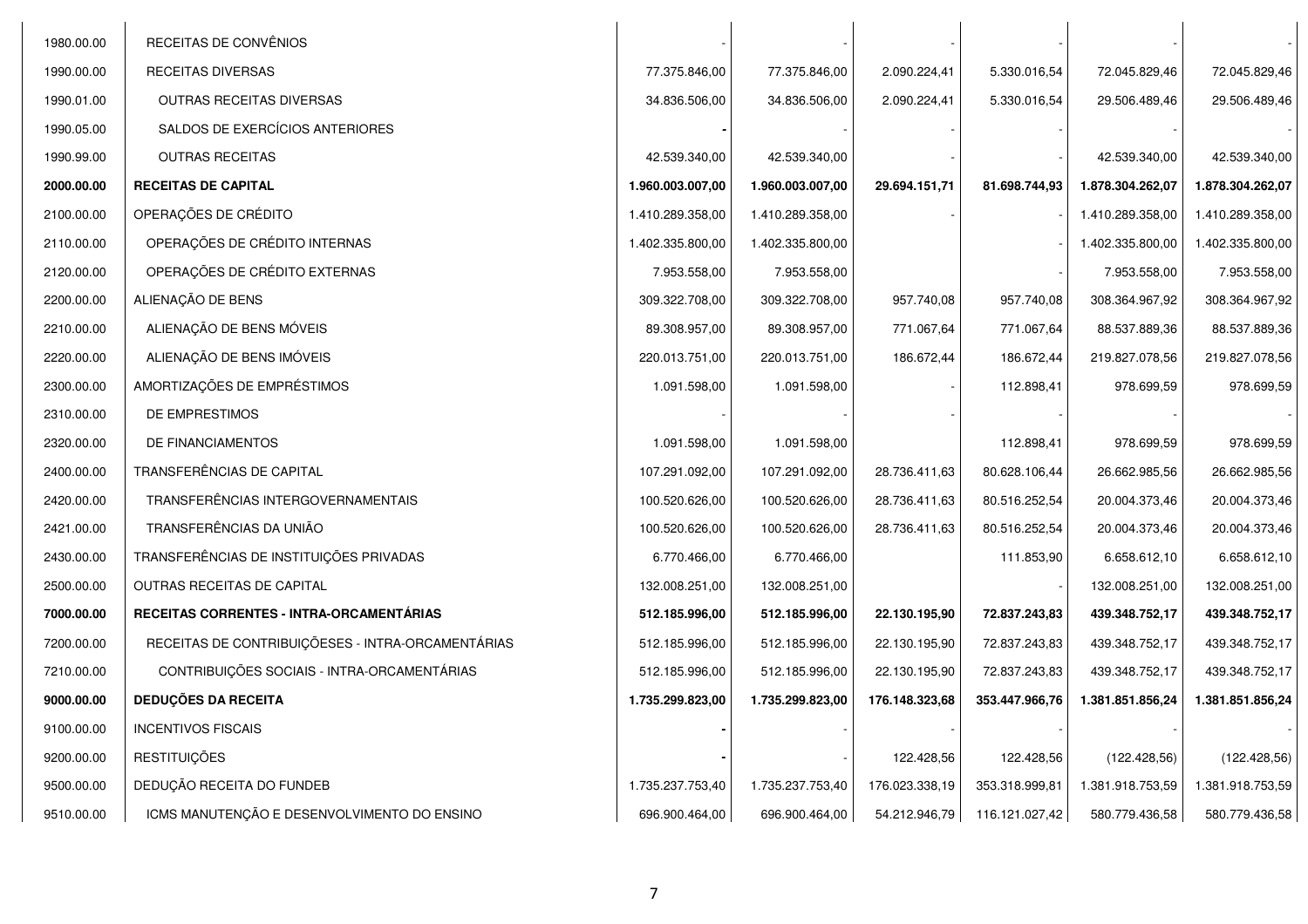| 1980.00.00 | RECEITAS DE CONVÊNIOS                             |                  |                  |                |                |                  |                  |
|------------|---------------------------------------------------|------------------|------------------|----------------|----------------|------------------|------------------|
| 1990.00.00 | RECEITAS DIVERSAS                                 | 77.375.846,00    | 77.375.846,00    | 2.090.224,41   | 5.330.016,54   | 72.045.829,46    | 72.045.829,46    |
| 1990.01.00 | OUTRAS RECEITAS DIVERSAS                          | 34.836.506,00    | 34.836.506,00    | 2.090.224,41   | 5.330.016,54   | 29.506.489,46    | 29.506.489,46    |
| 1990.05.00 | SALDOS DE EXERCÍCIOS ANTERIORES                   |                  |                  |                |                |                  |                  |
| 1990.99.00 | <b>OUTRAS RECEITAS</b>                            | 42.539.340,00    | 42.539.340,00    |                |                | 42.539.340,00    | 42.539.340,00    |
| 2000.00.00 | <b>RECEITAS DE CAPITAL</b>                        | 1.960.003.007,00 | 1.960.003.007,00 | 29.694.151,71  | 81.698.744,93  | 1.878.304.262,07 | 1.878.304.262,07 |
| 2100.00.00 | OPERAÇÕES DE CRÉDITO                              | 1.410.289.358,00 | 1.410.289.358,00 |                |                | 1.410.289.358,00 | 1.410.289.358,00 |
| 2110.00.00 | OPERAÇÕES DE CRÉDITO INTERNAS                     | 1.402.335.800,00 | 1.402.335.800,00 |                |                | 1.402.335.800,00 | 1.402.335.800,00 |
| 2120.00.00 | OPERAÇÕES DE CRÉDITO EXTERNAS                     | 7.953.558,00     | 7.953.558,00     |                |                | 7.953.558,00     | 7.953.558,00     |
| 2200.00.00 | ALIENAÇÃO DE BENS                                 | 309.322.708,00   | 309.322.708,00   | 957.740,08     | 957.740,08     | 308.364.967,92   | 308.364.967,92   |
| 2210.00.00 | ALIENAÇÃO DE BENS MÓVEIS                          | 89.308.957,00    | 89.308.957,00    | 771.067,64     | 771.067,64     | 88.537.889,36    | 88.537.889,36    |
| 2220.00.00 | ALIENAÇÃO DE BENS IMÓVEIS                         | 220.013.751,00   | 220.013.751,00   | 186.672,44     | 186.672,44     | 219.827.078,56   | 219.827.078,56   |
| 2300.00.00 | AMORTIZAÇÕES DE EMPRÉSTIMOS                       | 1.091.598,00     | 1.091.598,00     |                | 112.898,41     | 978.699,59       | 978.699,59       |
| 2310.00.00 | DE EMPRESTIMOS                                    |                  |                  |                |                |                  |                  |
| 2320.00.00 | DE FINANCIAMENTOS                                 | 1.091.598,00     | 1.091.598,00     |                | 112.898,41     | 978.699.59       | 978.699,59       |
| 2400.00.00 | TRANSFERÊNCIAS DE CAPITAL                         | 107.291.092,00   | 107.291.092,00   | 28.736.411,63  | 80.628.106,44  | 26.662.985,56    | 26.662.985,56    |
| 2420.00.00 | TRANSFERÊNCIAS INTERGOVERNAMENTAIS                | 100.520.626,00   | 100.520.626,00   | 28.736.411,63  | 80.516.252,54  | 20.004.373,46    | 20.004.373,46    |
| 2421.00.00 | TRANSFERÊNCIAS DA UNIÃO                           | 100.520.626,00   | 100.520.626,00   | 28.736.411,63  | 80.516.252,54  | 20.004.373,46    | 20.004.373,46    |
| 2430.00.00 | TRANSFERÊNCIAS DE INSTITUIÇÕES PRIVADAS           | 6.770.466,00     | 6.770.466,00     |                | 111.853,90     | 6.658.612,10     | 6.658.612,10     |
| 2500.00.00 | OUTRAS RECEITAS DE CAPITAL                        | 132.008.251,00   | 132.008.251,00   |                |                | 132.008.251,00   | 132.008.251,00   |
| 7000.00.00 | RECEITAS CORRENTES - INTRA-ORCAMENTÁRIAS          | 512.185.996,00   | 512.185.996,00   | 22.130.195,90  | 72.837.243,83  | 439.348.752,17   | 439.348.752,17   |
| 7200.00.00 | RECEITAS DE CONTRIBUIÇÕESES - INTRA-ORCAMENTÁRIAS | 512.185.996,00   | 512.185.996,00   | 22.130.195,90  | 72.837.243,83  | 439.348.752,17   | 439.348.752,17   |
| 7210.00.00 | CONTRIBUIÇÕES SOCIAIS - INTRA-ORCAMENTÁRIAS       | 512.185.996,00   | 512.185.996,00   | 22.130.195,90  | 72.837.243,83  | 439.348.752,17   | 439.348.752,17   |
| 9000.00.00 | <b>DEDUÇÕES DA RECEITA</b>                        | 1.735.299.823,00 | 1.735.299.823,00 | 176.148.323,68 | 353.447.966,76 | 1.381.851.856,24 | 1.381.851.856,24 |
| 9100.00.00 | <b>INCENTIVOS FISCAIS</b>                         |                  |                  |                |                |                  |                  |
| 9200.00.00 | <b>RESTITUIÇÕES</b>                               |                  |                  | 122.428,56     | 122.428,56     | (122.428,56)     | (122.428,56)     |
| 9500.00.00 | DEDUÇÃO RECEITA DO FUNDEB                         | 1.735.237.753,40 | 1.735.237.753,40 | 176.023.338,19 | 353.318.999,81 | 1.381.918.753,59 | 1.381.918.753,59 |
| 9510.00.00 | ICMS MANUTENÇÃO E DESENVOLVIMENTO DO ENSINO       | 696.900.464,00   | 696.900.464,00   | 54.212.946,79  | 116.121.027,42 | 580.779.436,58   | 580.779.436,58   |